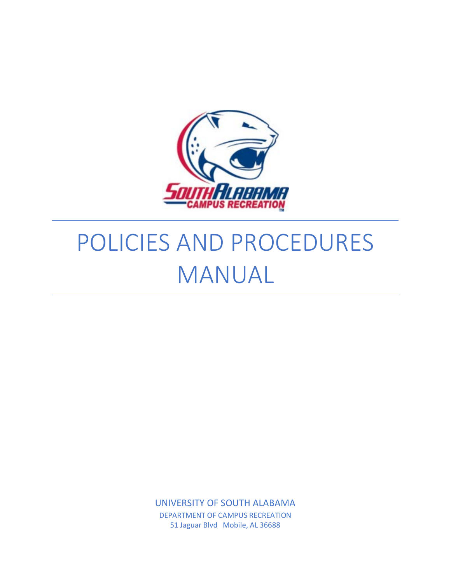

# POLICIES AND PROCEDURES MANUAL

UNIVERSITY OF SOUTH ALABAMA DEPARTMENT OF CAMPUS RECREATION 51 Jaguar Blvd Mobile, AL 36688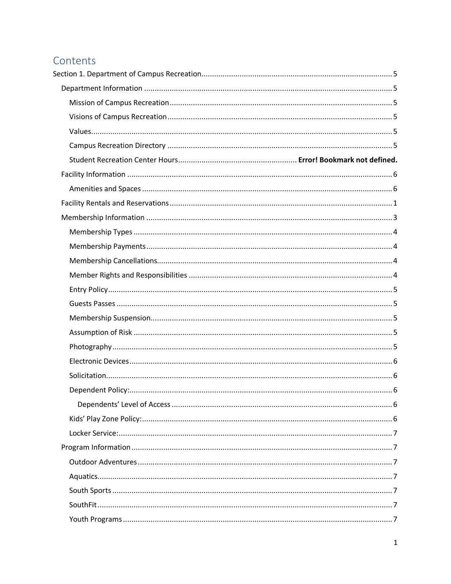## Contents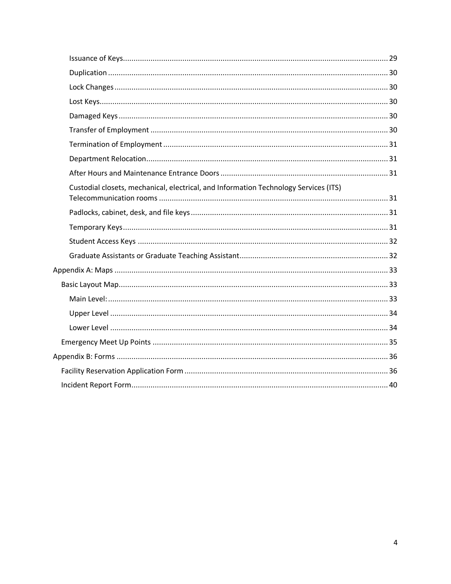| Custodial closets, mechanical, electrical, and Information Technology Services (ITS) |  |
|--------------------------------------------------------------------------------------|--|
|                                                                                      |  |
|                                                                                      |  |
|                                                                                      |  |
|                                                                                      |  |
|                                                                                      |  |
|                                                                                      |  |
|                                                                                      |  |
|                                                                                      |  |
|                                                                                      |  |
|                                                                                      |  |
|                                                                                      |  |
|                                                                                      |  |
|                                                                                      |  |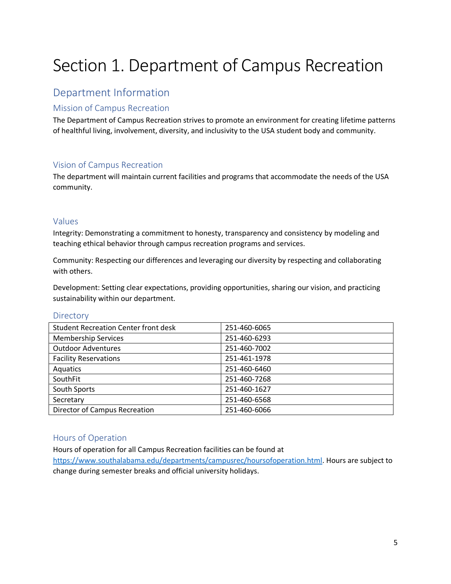## <span id="page-5-0"></span>Section 1. Department of Campus Recreation

## <span id="page-5-1"></span>Department Information

## <span id="page-5-2"></span>Mission of Campus Recreation

The Department of Campus Recreation strives to promote an environment for creating lifetime patterns of healthful living, involvement, diversity, and inclusivity to the USA student body and community.

## <span id="page-5-3"></span>Vision of Campus Recreation

The department will maintain current facilities and programs that accommodate the needs of the USA community.

## <span id="page-5-4"></span>Values

Integrity: Demonstrating a commitment to honesty, transparency and consistency by modeling and teaching ethical behavior through campus recreation programs and services.

Community: Respecting our differences and leveraging our diversity by respecting and collaborating with others.

Development: Setting clear expectations, providing opportunities, sharing our vision, and practicing sustainability within our department.

#### <span id="page-5-5"></span>**Directory**

| <b>Student Recreation Center front desk</b> | 251-460-6065 |
|---------------------------------------------|--------------|
| <b>Membership Services</b>                  | 251-460-6293 |
| <b>Outdoor Adventures</b>                   | 251-460-7002 |
| <b>Facility Reservations</b>                | 251-461-1978 |
| Aquatics                                    | 251-460-6460 |
| SouthFit                                    | 251-460-7268 |
| South Sports                                | 251-460-1627 |
| Secretary                                   | 251-460-6568 |
| <b>Director of Campus Recreation</b>        | 251-460-6066 |

## Hours of Operation

Hours of operation for all Campus Recreation facilities can be found at

[https://www.southalabama.edu/departments/campusrec/hoursofoperation.html.](https://www.southalabama.edu/departments/campusrec/hoursofoperation.html) Hours are subject to change during semester breaks and official university holidays.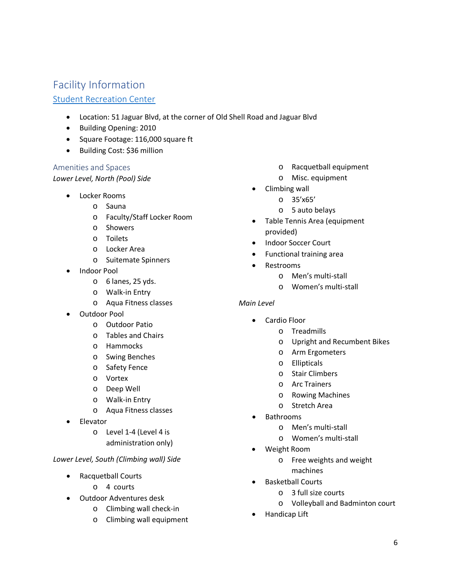## <span id="page-6-0"></span>Facility Information

## [Student Recreation Center](https://www.southalabama.edu/departments/campusrec/studentrecreationcenter/)

- Location: 51 Jaguar Blvd, at the corner of Old Shell Road and Jaguar Blvd
- Building Opening: 2010
- Square Footage: 116,000 square ft
- Building Cost: \$36 million

## <span id="page-6-1"></span>Amenities and Spaces

*Lower Level, North (Pool) Side*

- Locker Rooms
	- o Sauna
	- o Faculty/Staff Locker Room
	- o Showers
	- o Toilets
	- o Locker Area
	- o Suitemate Spinners
- Indoor Pool
	- o 6 lanes, 25 yds.
	- o Walk-in Entry
	- o Aqua Fitness classes
- Outdoor Pool
	- o Outdoor Patio
	- o Tables and Chairs
	- o Hammocks
	- o Swing Benches
	- o Safety Fence
	- o Vortex
	- o Deep Well
	- o Walk-in Entry
	- o Aqua Fitness classes
- Elevator
	- o Level 1-4 (Level 4 is administration only)

## *Lower Level, South (Climbing wall) Side*

- Racquetball Courts
	- o 4 courts
- Outdoor Adventures desk
	- o Climbing wall check-in
	- o Climbing wall equipment
- o Racquetball equipment
- o Misc. equipment
- Climbing wall
	- o 35'x65'
	- o 5 auto belays
- Table Tennis Area (equipment provided)
- Indoor Soccer Court
- Functional training area
- Restrooms
	- o Men's multi-stall
	- o Women's multi-stall

## *Main Level*

- Cardio Floor
	- o Treadmills
	- o Upright and Recumbent Bikes
	- o Arm Ergometers
	- o Ellipticals
	- o Stair Climbers
	- o Arc Trainers
	- o Rowing Machines
	- o Stretch Area
- Bathrooms
	- o Men's multi-stall
	- o Women's multi-stall
- Weight Room
	- o Free weights and weight machines
	- Basketball Courts
		- o 3 full size courts
		- o Volleyball and Badminton court
	- Handicap Lift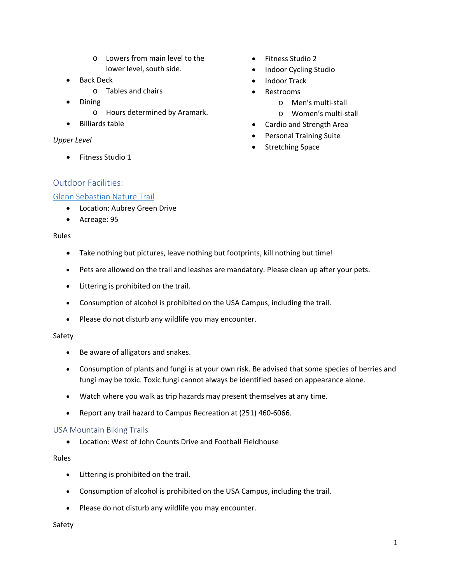- o Lowers from main level to the lower level, south side.
- Back Deck
	- o Tables and chairs
- Dining
	- o Hours determined by Aramark.
- Billiards table

#### *Upper Level*

• Fitness Studio 1

- Fitness Studio 2
- Indoor Cycling Studio
- Indoor Track
- Restrooms
	- o Men's multi-stall
	- o Women's multi-stall
- Cardio and Strength Area
- Personal Training Suite
- Stretching Space

## <span id="page-7-0"></span>Outdoor Facilities:

#### [Glenn Sebastian Nature Trail](https://www.southalabama.edu/departments/campusrec/facilityrental/naturetrail.html)

- Location: Aubrey Green Drive
- Acreage: 95

#### Rules

- Take nothing but pictures, leave nothing but footprints, kill nothing but time!
- Pets are allowed on the trail and leashes are mandatory. Please clean up after your pets.
- Littering is prohibited on the trail.
- Consumption of alcohol is prohibited on the USA Campus, including the trail.
- Please do not disturb any wildlife you may encounter.

#### Safety

- Be aware of alligators and snakes.
- Consumption of plants and fungi is at your own risk. Be advised that some species of berries and fungi may be toxic. Toxic fungi cannot always be identified based on appearance alone.
- Watch where you walk as trip hazards may present themselves at any time.
- Report any trail hazard to Campus Recreation at (251) 460-6066.

#### USA Mountain Biking Trails

• Location: West of John Counts Drive and Football Fieldhouse

#### Rules

- Littering is prohibited on the trail.
- Consumption of alcohol is prohibited on the USA Campus, including the trail.
- Please do not disturb any wildlife you may encounter.

#### Safety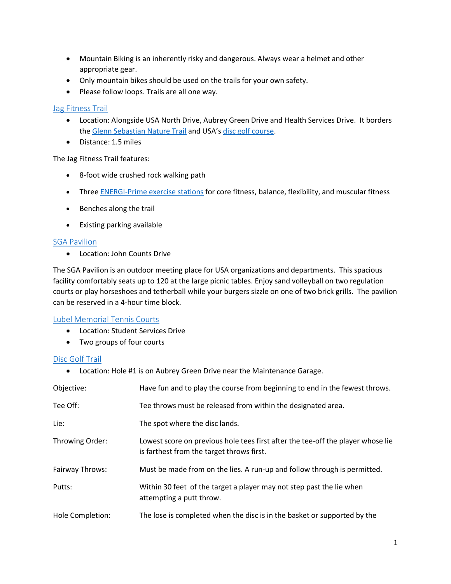- Mountain Biking is an inherently risky and dangerous. Always wear a helmet and other appropriate gear.
- Only mountain bikes should be used on the trails for your own safety.
- Please follow loops. Trails are all one way.

## Jag [Fitness](https://www.southalabama.edu/departments/campusrec/facilityrental/jagtrail.html) Trail

- Location: Alongside USA North Drive, Aubrey Green Drive and Health Services Drive. It borders the [Glenn Sebastian Nature Trail](https://www.southalabama.edu/departments/campusrec/facilityrental/naturetrail.html) and USA's [disc golf course.](https://www.southalabama.edu/departments/campusrec/facilityrental/discgolf.html)
- Distance: 1.5 miles

The Jag Fitness Trail features:

- 8-foot wide crushed rock walking path
- Three [ENERGI-Prime exercise stations](https://www.youtube.com/user/ENERGIFitness/playlists) for core fitness, balance, flexibility, and muscular fitness
- Benches along the trail
- Existing parking available

#### [SGA Pavilion](https://www.southalabama.edu/departments/campusrec/facilityrental/sgacomplex.html)

• Location: John Counts Drive

The SGA Pavilion is an outdoor meeting place for USA organizations and departments. This spacious facility comfortably seats up to 120 at the large picnic tables. Enjoy sand volleyball on two regulation courts or play horseshoes and tetherball while your burgers sizzle on one of two brick grills. The pavilion can be reserved in a 4-hour time block.

#### [Lubel Memorial Tennis Courts](https://www.southalabama.edu/departments/campusrec/facilityrental/tennis.html)

- Location: Student Services Drive
- Two groups of four courts

#### [Disc Golf Trail](https://www.southalabama.edu/departments/campusrec/facilityrental/discgolf.html)

• Location: Hole #1 is on Aubrey Green Drive near the Maintenance Garage.

| Objective:       | Have fun and to play the course from beginning to end in the fewest throws.                                                  |
|------------------|------------------------------------------------------------------------------------------------------------------------------|
| Tee Off:         | Tee throws must be released from within the designated area.                                                                 |
| Lie:             | The spot where the disc lands.                                                                                               |
| Throwing Order:  | Lowest score on previous hole tees first after the tee-off the player whose lie<br>is farthest from the target throws first. |
| Fairway Throws:  | Must be made from on the lies. A run-up and follow through is permitted.                                                     |
| Putts:           | Within 30 feet of the target a player may not step past the lie when<br>attempting a putt throw.                             |
| Hole Completion: | The lose is completed when the disc is in the basket or supported by the                                                     |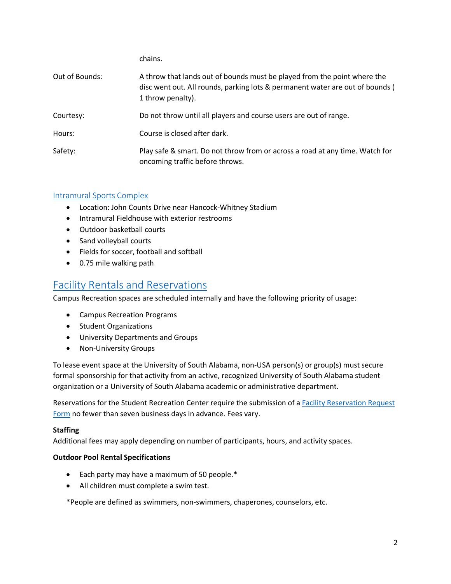|                | chains.                                                                                                                                                                        |
|----------------|--------------------------------------------------------------------------------------------------------------------------------------------------------------------------------|
| Out of Bounds: | A throw that lands out of bounds must be played from the point where the<br>disc went out. All rounds, parking lots & permanent water are out of bounds (<br>1 throw penalty). |
| Courtesy:      | Do not throw until all players and course users are out of range.                                                                                                              |
| Hours:         | Course is closed after dark.                                                                                                                                                   |
| Safety:        | Play safe & smart. Do not throw from or across a road at any time. Watch for<br>oncoming traffic before throws.                                                                |

## [Intramural Sports Complex](https://www.southalabama.edu/departments/campusrec/facilityrental/usasportscomplex.html)

- Location: John Counts Drive near Hancock-Whitney Stadium
- Intramural Fieldhouse with exterior restrooms
- Outdoor basketball courts
- Sand volleyball courts
- Fields for soccer, football and softball
- 0.75 mile walking path

## [Facility Rentals and Reservations](https://www.southalabama.edu/departments/campusrec/facilityrental/)

Campus Recreation spaces are scheduled internally and have the following priority of usage:

- Campus Recreation Programs
- Student Organizations
- University Departments and Groups
- Non-University Groups

To lease event space at the University of South Alabama, non-USA person(s) or group(s) must secure formal sponsorship for that activity from an active, recognized University of South Alabama student organization or a University of South Alabama academic or administrative department.

Reservations for the Student Recreation Center require the submission of a [Facility Reservation Request](https://www.southalabama.edu/departments/campusrec/facilityrental/)  [Form](https://www.southalabama.edu/departments/campusrec/facilityrental/) no fewer than seven business days in advance. Fees vary.

#### **Staffing**

Additional fees may apply depending on number of participants, hours, and activity spaces.

#### **Outdoor Pool Rental Specifications**

- Each party may have a maximum of 50 people.\*
- All children must complete a swim test.

\*People are defined as swimmers, non-swimmers, chaperones, counselors, etc.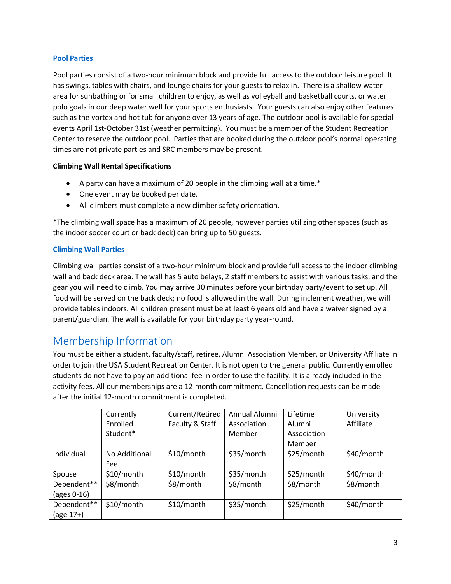## **[Pool Parties](https://www.southalabama.edu/departments/campusrec/aquatics/poolrental.html)**

Pool parties consist of a two-hour minimum block and provide full access to the outdoor leisure pool. It has swings, tables with chairs, and lounge chairs for your guests to relax in. There is a shallow water area for sunbathing or for small children to enjoy, as well as volleyball and basketball courts, or water polo goals in our deep water well for your sports enthusiasts. Your guests can also enjoy other features such as the vortex and hot tub for anyone over 13 years of age. The outdoor pool is available for special events April 1st-October 31st (weather permitting). You must be a member of the Student Recreation Center to reserve the outdoor pool. Parties that are booked during the outdoor pool's normal operating times are not private parties and SRC members may be present.

## **Climbing Wall Rental Specifications**

- A party can have a maximum of 20 people in the climbing wall at a time.\*
- One event may be booked per date.
- All climbers must complete a new climber safety orientation.

\*The climbing wall space has a maximum of 20 people, however parties utilizing other spaces (such as the indoor soccer court or back deck) can bring up to 50 guests.

## **[Climbing Wall](https://www.southalabama.edu/departments/campusrec/outdoor/rockwall.html) Parties**

Climbing wall parties consist of a two-hour minimum block and provide full access to the indoor climbing wall and back deck area. The wall has 5 auto belays, 2 staff members to assist with various tasks, and the gear you will need to climb. You may arrive 30 minutes before your birthday party/event to set up. All food will be served on the back deck; no food is allowed in the wall. During inclement weather, we will provide tables indoors. All children present must be at least 6 years old and have a waiver signed by a parent/guardian. The wall is available for your birthday party year-round.

## <span id="page-10-0"></span>[Membership Information](https://www.southalabama.edu/departments/campusrec/recmemberships/)

You must be either a student, faculty/staff, retiree, Alumni Association Member, or University Affiliate in order to join the USA Student Recreation Center. It is not open to the general public. Currently enrolled students do not have to pay an additional fee in order to use the facility. It is already included in the activity fees. All our memberships are a 12-month commitment. Cancellation requests can be made after the initial 12-month commitment is completed.

|                               | Currently     | Current/Retired | Annual Alumni | Lifetime    | University |
|-------------------------------|---------------|-----------------|---------------|-------------|------------|
|                               | Enrolled      | Faculty & Staff | Association   | Alumni      | Affiliate  |
|                               | Student*      |                 | Member        | Association |            |
|                               |               |                 |               | Member      |            |
| Individual                    | No Additional | \$10/month      | \$35/month    | \$25/month  | \$40/month |
|                               | Fee           |                 |               |             |            |
| Spouse                        | \$10/month    | $$10/m$ onth    | \$35/month    | \$25/month  | \$40/month |
| Dependent**                   | \$8/month     | \$8/month       | \$8/month     | \$8/month   | \$8/month  |
| (ages 0-16)                   |               |                 |               |             |            |
| Dependent**                   | \$10/month    | \$10/month      | \$35/month    | \$25/month  | \$40/month |
| $\left(\text{age }17+\right)$ |               |                 |               |             |            |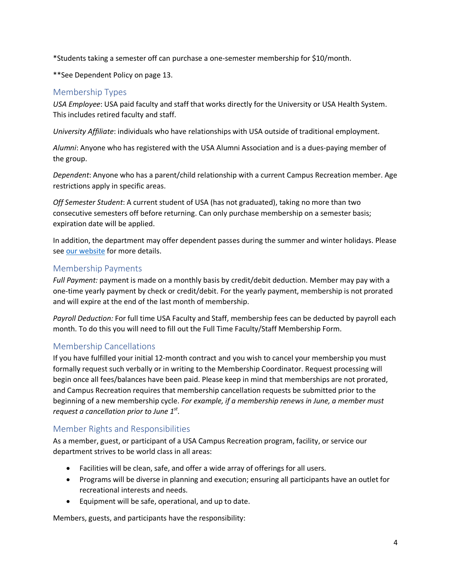\*Students taking a semester off can purchase a one-semester membership for \$10/month.

\*\*See Dependent Policy on page 13.

## <span id="page-11-0"></span>Membership Types

*USA Employee*: USA paid faculty and staff that works directly for the University or USA Health System. This includes retired faculty and staff.

*University Affiliate*: individuals who have relationships with USA outside of traditional employment.

*Alumni*: Anyone who has registered with the USA Alumni Association and is a dues-paying member of the group.

*Dependent*: Anyone who has a parent/child relationship with a current Campus Recreation member. Age restrictions apply in specific areas.

*Off Semester Student*: A current student of USA (has not graduated), taking no more than two consecutive semesters off before returning. Can only purchase membership on a semester basis; expiration date will be applied.

In addition, the department may offer dependent passes during the summer and winter holidays. Please se[e our website](https://www.southalabama.edu/departments/campusrec/recmemberships/) for more details.

## <span id="page-11-1"></span>Membership Payments

*Full Payment:* payment is made on a monthly basis by credit/debit deduction. Member may pay with a one-time yearly payment by check or credit/debit. For the yearly payment, membership is not prorated and will expire at the end of the last month of membership.

*Payroll Deduction:* For full time USA Faculty and Staff, membership fees can be deducted by payroll each month. To do this you will need to fill out the Full Time Faculty/Staff Membership Form.

## <span id="page-11-2"></span>Membership Cancellations

If you have fulfilled your initial 12-month contract and you wish to cancel your membership you must formally request such verbally or in writing to the Membership Coordinator. Request processing will begin once all fees/balances have been paid. Please keep in mind that memberships are not prorated, and Campus Recreation requires that membership cancellation requests be submitted prior to the beginning of a new membership cycle. *For example, if a membership renews in June, a member must request a cancellation prior to June 1st.* 

## <span id="page-11-3"></span>Member Rights and Responsibilities

As a member, guest, or participant of a USA Campus Recreation program, facility, or service our department strives to be world class in all areas:

- Facilities will be clean, safe, and offer a wide array of offerings for all users.
- Programs will be diverse in planning and execution; ensuring all participants have an outlet for recreational interests and needs.
- Equipment will be safe, operational, and up to date.

Members, guests, and participants have the responsibility: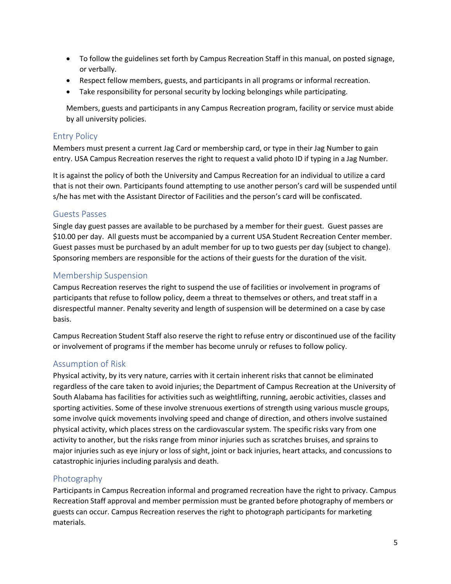- To follow the guidelines set forth by Campus Recreation Staff in this manual, on posted signage, or verbally.
- Respect fellow members, guests, and participants in all programs or informal recreation.
- Take responsibility for personal security by locking belongings while participating.

Members, guests and participants in any Campus Recreation program, facility or service must abide by all university policies.

## <span id="page-12-0"></span>Entry Policy

Members must present a current Jag Card or membership card, or type in their Jag Number to gain entry. USA Campus Recreation reserves the right to request a valid photo ID if typing in a Jag Number.

It is against the policy of both the University and Campus Recreation for an individual to utilize a card that is not their own. Participants found attempting to use another person's card will be suspended until s/he has met with the Assistant Director of Facilities and the person's card will be confiscated.

## <span id="page-12-1"></span>Guests Passes

Single day guest passes are available to be purchased by a member for their guest. Guest passes are \$10.00 per day. All guests must be accompanied by a current USA Student Recreation Center member. Guest passes must be purchased by an adult member for up to two guests per day (subject to change). Sponsoring members are responsible for the actions of their guests for the duration of the visit.

## <span id="page-12-2"></span>Membership Suspension

Campus Recreation reserves the right to suspend the use of facilities or involvement in programs of participants that refuse to follow policy, deem a threat to themselves or others, and treat staff in a disrespectful manner. Penalty severity and length of suspension will be determined on a case by case basis.

Campus Recreation Student Staff also reserve the right to refuse entry or discontinued use of the facility or involvement of programs if the member has become unruly or refuses to follow policy.

## <span id="page-12-3"></span>Assumption of Risk

Physical activity, by its very nature, carries with it certain inherent risks that cannot be eliminated regardless of the care taken to avoid injuries; the Department of Campus Recreation at the University of South Alabama has facilities for activities such as weightlifting, running, aerobic activities, classes and sporting activities. Some of these involve strenuous exertions of strength using various muscle groups, some involve quick movements involving speed and change of direction, and others involve sustained physical activity, which places stress on the cardiovascular system. The specific risks vary from one activity to another, but the risks range from minor injuries such as scratches bruises, and sprains to major injuries such as eye injury or loss of sight, joint or back injuries, heart attacks, and concussions to catastrophic injuries including paralysis and death.

## <span id="page-12-4"></span>Photography

Participants in Campus Recreation informal and programed recreation have the right to privacy. Campus Recreation Staff approval and member permission must be granted before photography of members or guests can occur. Campus Recreation reserves the right to photograph participants for marketing materials.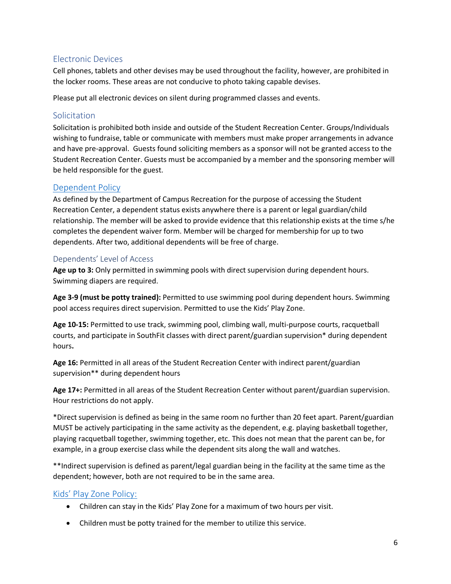## <span id="page-13-0"></span>Electronic Devices

Cell phones, tablets and other devises may be used throughout the facility, however, are prohibited in the locker rooms. These areas are not conducive to photo taking capable devises.

Please put all electronic devices on silent during programmed classes and events.

## <span id="page-13-1"></span>Solicitation

Solicitation is prohibited both inside and outside of the Student Recreation Center. Groups/Individuals wishing to fundraise, table or communicate with members must make proper arrangements in advance and have pre-approval. Guests found soliciting members as a sponsor will not be granted access to the Student Recreation Center. Guests must be accompanied by a member and the sponsoring member will be held responsible for the guest.

## <span id="page-13-2"></span>[Dependent Policy](https://www.southalabama.edu/departments/campusrec/familyconnect/)

As defined by the Department of Campus Recreation for the purpose of accessing the Student Recreation Center, a dependent status exists anywhere there is a parent or legal guardian/child relationship. The member will be asked to provide evidence that this relationship exists at the time s/he completes the dependent waiver form. Member will be charged for membership for up to two dependents. After two, additional dependents will be free of charge.

## <span id="page-13-3"></span>Dependents' Level of Access

**Age up to 3:** Only permitted in swimming pools with direct supervision during dependent hours. Swimming diapers are required.

**Age 3-9 (must be potty trained):** Permitted to use swimming pool during dependent hours. Swimming pool access requires direct supervision. Permitted to use the Kids' Play Zone.

**Age 10-15:** Permitted to use track, swimming pool, climbing wall, multi-purpose courts, racquetball courts, and participate in SouthFit classes with direct parent/guardian supervision\* during dependent hours**.** 

**Age 16:** Permitted in all areas of the Student Recreation Center with indirect parent/guardian supervision\*\* during dependent hours

**Age 17+:** Permitted in all areas of the Student Recreation Center without parent/guardian supervision. Hour restrictions do not apply.

\*Direct supervision is defined as being in the same room no further than 20 feet apart. Parent/guardian MUST be actively participating in the same activity as the dependent, e.g. playing basketball together, playing racquetball together, swimming together, etc. This does not mean that the parent can be, for example, in a group exercise class while the dependent sits along the wall and watches.

\*\*Indirect supervision is defined as parent/legal guardian being in the facility at the same time as the dependent; however, both are not required to be in the same area.

## <span id="page-13-4"></span>[Kids' Play Zone Policy:](https://www.southalabama.edu/departments/campusrec/studentrecreationcenter/kidsplayzone.html)

- Children can stay in the Kids' Play Zone for a maximum of two hours per visit.
- Children must be potty trained for the member to utilize this service.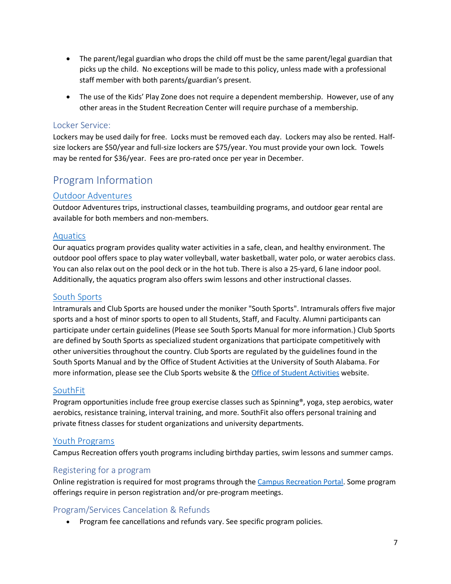- The parent/legal guardian who drops the child off must be the same parent/legal guardian that picks up the child. No exceptions will be made to this policy, unless made with a professional staff member with both parents/guardian's present.
- The use of the Kids' Play Zone does not require a dependent membership. However, use of any other areas in the Student Recreation Center will require purchase of a membership.

## <span id="page-14-0"></span>Locker Service:

Lockers may be used daily for free. Locks must be removed each day. Lockers may also be rented. Halfsize lockers are \$50/year and full-size lockers are \$75/year. You must provide your own lock. Towels may be rented for \$36/year. Fees are pro-rated once per year in December.

## <span id="page-14-1"></span>Program Information

## <span id="page-14-2"></span>[Outdoor Adventures](https://www.southalabama.edu/departments/campusrec/outdoor/)

Outdoor Adventures trips, instructional classes, teambuilding programs, and outdoor gear rental are available for both members and non-members.

## <span id="page-14-3"></span>[Aquatics](https://www.southalabama.edu/departments/campusrec/aquatics/)

Our aquatics program provides quality water activities in a safe, clean, and healthy environment. The outdoor pool offers space to play water volleyball, water basketball, water polo, or water aerobics class. You can also relax out on the pool deck or in the hot tub. There is also a 25-yard, 6 lane indoor pool. Additionally, the aquatics program also offers swim lessons and other instructional classes.

## <span id="page-14-4"></span>[South Sports](https://www.southalabama.edu/departments/campusrec/southsports/)

Intramurals and Club Sports are housed under the moniker "South Sports". Intramurals offers five major sports and a host of minor sports to open to all Students, Staff, and Faculty. Alumni participants can participate under certain guidelines (Please see South Sports Manual for more information.) Club Sports are defined by South Sports as specialized student organizations that participate competitively with other universities throughout the country. Club Sports are regulated by the guidelines found in the South Sports Manual and by the Office of Student Activities at the University of South Alabama. For more information, please see the Club Sports website & the [Office of Student Activities](https://www.southalabama.edu/departments/studentactivities/) website.

## <span id="page-14-5"></span>[SouthFit](https://www.southalabama.edu/departments/campusrec/southfit/)

Program opportunities include free group exercise classes such as Spinning®, yoga, step aerobics, water aerobics, resistance training, interval training, and more. SouthFit also offers personal training and private fitness classes for student organizations and university departments.

## <span id="page-14-6"></span>[Youth Programs](https://www.southalabama.edu/departments/campusrec/familyconnect/)

Campus Recreation offers youth programs including birthday parties, swim lessons and summer camps.

## <span id="page-14-7"></span>Registering for a program

Online registration is required for most programs through the Campus Recreation Portal. Some program offerings require in person registration and/or pre-program meetings.

## <span id="page-14-8"></span>Program/Services Cancelation & Refunds

• Program fee cancellations and refunds vary. See specific program policies.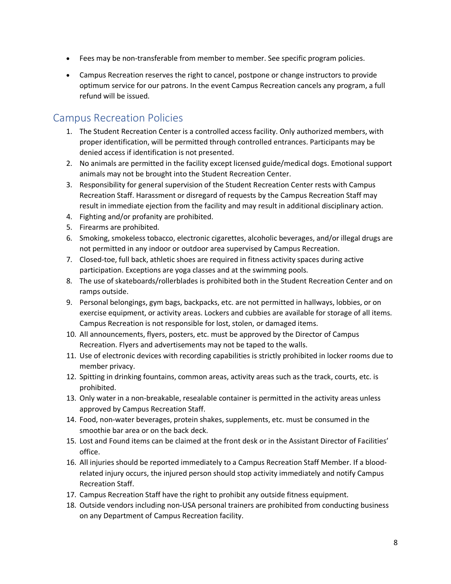- Fees may be non-transferable from member to member. See specific program policies.
- Campus Recreation reserves the right to cancel, postpone or change instructors to provide optimum service for our patrons. In the event Campus Recreation cancels any program, a full refund will be issued.

## <span id="page-15-0"></span>Campus Recreation Policies

- 1. The Student Recreation Center is a controlled access facility. Only authorized members, with proper identification, will be permitted through controlled entrances. Participants may be denied access if identification is not presented.
- 2. No animals are permitted in the facility except licensed guide/medical dogs. Emotional support animals may not be brought into the Student Recreation Center.
- 3. Responsibility for general supervision of the Student Recreation Center rests with Campus Recreation Staff. Harassment or disregard of requests by the Campus Recreation Staff may result in immediate ejection from the facility and may result in additional disciplinary action.
- 4. Fighting and/or profanity are prohibited.
- 5. Firearms are prohibited.
- 6. Smoking, smokeless tobacco, electronic cigarettes, alcoholic beverages, and/or illegal drugs are not permitted in any indoor or outdoor area supervised by Campus Recreation.
- 7. Closed-toe, full back, athletic shoes are required in fitness activity spaces during active participation. Exceptions are yoga classes and at the swimming pools.
- 8. The use of skateboards/rollerblades is prohibited both in the Student Recreation Center and on ramps outside.
- 9. Personal belongings, gym bags, backpacks, etc. are not permitted in hallways, lobbies, or on exercise equipment, or activity areas. Lockers and cubbies are available for storage of all items. Campus Recreation is not responsible for lost, stolen, or damaged items.
- 10. All announcements, flyers, posters, etc. must be approved by the Director of Campus Recreation. Flyers and advertisements may not be taped to the walls.
- 11. Use of electronic devices with recording capabilities is strictly prohibited in locker rooms due to member privacy.
- 12. Spitting in drinking fountains, common areas, activity areas such as the track, courts, etc. is prohibited.
- 13. Only water in a non-breakable, resealable container is permitted in the activity areas unless approved by Campus Recreation Staff.
- 14. Food, non-water beverages, protein shakes, supplements, etc. must be consumed in the smoothie bar area or on the back deck.
- 15. Lost and Found items can be claimed at the front desk or in the Assistant Director of Facilities' office.
- 16. All injuries should be reported immediately to a Campus Recreation Staff Member. If a bloodrelated injury occurs, the injured person should stop activity immediately and notify Campus Recreation Staff.
- 17. Campus Recreation Staff have the right to prohibit any outside fitness equipment.
- 18. Outside vendors including non-USA personal trainers are prohibited from conducting business on any Department of Campus Recreation facility.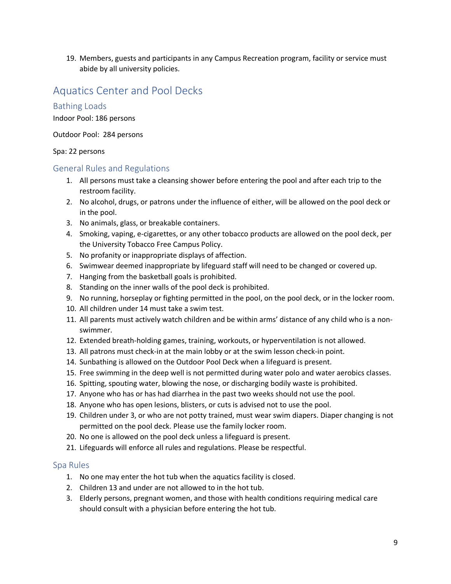19. Members, guests and participants in any Campus Recreation program, facility or service must abide by all university policies.

## <span id="page-16-0"></span>Aquatics Center and Pool Decks

## <span id="page-16-1"></span>Bathing Loads

Indoor Pool: 186 persons

Outdoor Pool: 284 persons

#### Spa: 22 persons

#### <span id="page-16-2"></span>General Rules and Regulations

- 1. All persons must take a cleansing shower before entering the pool and after each trip to the restroom facility.
- 2. No alcohol, drugs, or patrons under the influence of either, will be allowed on the pool deck or in the pool.
- 3. No animals, glass, or breakable containers.
- 4. Smoking, vaping, e-cigarettes, or any other tobacco products are allowed on the pool deck, per the University Tobacco Free Campus Policy.
- 5. No profanity or inappropriate displays of affection.
- 6. Swimwear deemed inappropriate by lifeguard staff will need to be changed or covered up.
- 7. Hanging from the basketball goals is prohibited.
- 8. Standing on the inner walls of the pool deck is prohibited.
- 9. No running, horseplay or fighting permitted in the pool, on the pool deck, or in the locker room.
- 10. All children under 14 must take a swim test.
- 11. All parents must actively watch children and be within arms' distance of any child who is a nonswimmer.
- 12. Extended breath-holding games, training, workouts, or hyperventilation is not allowed.
- 13. All patrons must check-in at the main lobby or at the swim lesson check-in point.
- 14. Sunbathing is allowed on the Outdoor Pool Deck when a lifeguard is present.
- 15. Free swimming in the deep well is not permitted during water polo and water aerobics classes.
- 16. Spitting, spouting water, blowing the nose, or discharging bodily waste is prohibited.
- 17. Anyone who has or has had diarrhea in the past two weeks should not use the pool.
- 18. Anyone who has open lesions, blisters, or cuts is advised not to use the pool.
- 19. Children under 3, or who are not potty trained, must wear swim diapers. Diaper changing is not permitted on the pool deck. Please use the family locker room.
- 20. No one is allowed on the pool deck unless a lifeguard is present.
- 21. Lifeguards will enforce all rules and regulations. Please be respectful.

## <span id="page-16-3"></span>Spa Rules

- 1. No one may enter the hot tub when the aquatics facility is closed.
- 2. Children 13 and under are not allowed to in the hot tub.
- 3. Elderly persons, pregnant women, and those with health conditions requiring medical care should consult with a physician before entering the hot tub.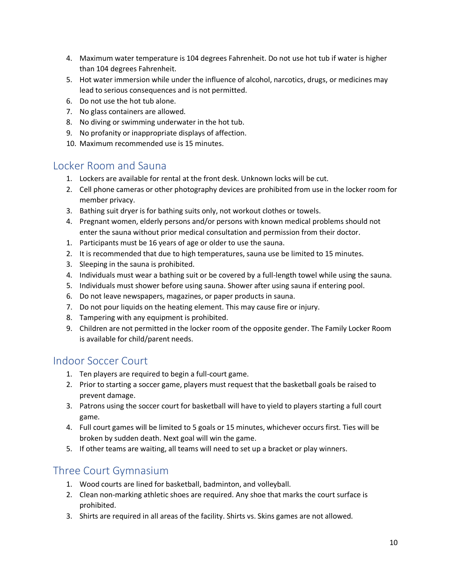- 4. Maximum water temperature is 104 degrees Fahrenheit. Do not use hot tub if water is higher than 104 degrees Fahrenheit.
- 5. Hot water immersion while under the influence of alcohol, narcotics, drugs, or medicines may lead to serious consequences and is not permitted.
- 6. Do not use the hot tub alone.
- 7. No glass containers are allowed.
- 8. No diving or swimming underwater in the hot tub.
- 9. No profanity or inappropriate displays of affection.
- 10. Maximum recommended use is 15 minutes.

## <span id="page-17-0"></span>Locker Room and Sauna

- 1. Lockers are available for rental at the front desk. Unknown locks will be cut.
- 2. Cell phone cameras or other photography devices are prohibited from use in the locker room for member privacy.
- 3. Bathing suit dryer is for bathing suits only, not workout clothes or towels.
- 4. Pregnant women, elderly persons and/or persons with known medical problems should not enter the sauna without prior medical consultation and permission from their doctor.
- 1. Participants must be 16 years of age or older to use the sauna.
- 2. It is recommended that due to high temperatures, sauna use be limited to 15 minutes.
- 3. Sleeping in the sauna is prohibited.
- 4. Individuals must wear a bathing suit or be covered by a full-length towel while using the sauna.
- 5. Individuals must shower before using sauna. Shower after using sauna if entering pool.
- 6. Do not leave newspapers, magazines, or paper products in sauna.
- 7. Do not pour liquids on the heating element. This may cause fire or injury.
- 8. Tampering with any equipment is prohibited.
- 9. Children are not permitted in the locker room of the opposite gender. The Family Locker Room is available for child/parent needs.

## <span id="page-17-1"></span>Indoor Soccer Court

- 1. Ten players are required to begin a full-court game.
- 2. Prior to starting a soccer game, players must request that the basketball goals be raised to prevent damage.
- 3. Patrons using the soccer court for basketball will have to yield to players starting a full court game.
- 4. Full court games will be limited to 5 goals or 15 minutes, whichever occurs first. Ties will be broken by sudden death. Next goal will win the game.
- 5. If other teams are waiting, all teams will need to set up a bracket or play winners.

## <span id="page-17-2"></span>Three Court Gymnasium

- 1. Wood courts are lined for basketball, badminton, and volleyball.
- 2. Clean non-marking athletic shoes are required. Any shoe that marks the court surface is prohibited.
- 3. Shirts are required in all areas of the facility. Shirts vs. Skins games are not allowed.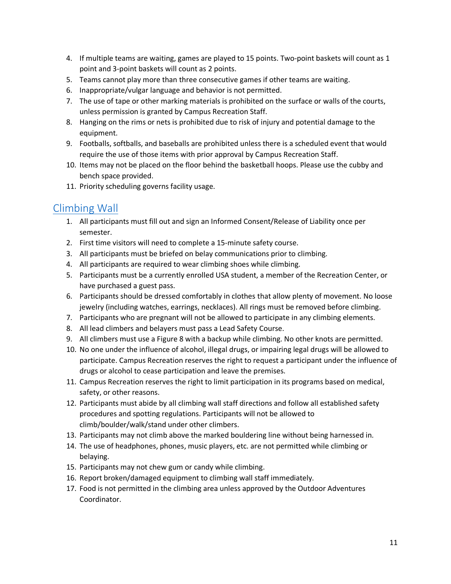- 4. If multiple teams are waiting, games are played to 15 points. Two-point baskets will count as 1 point and 3-point baskets will count as 2 points.
- 5. Teams cannot play more than three consecutive games if other teams are waiting.
- 6. Inappropriate/vulgar language and behavior is not permitted.
- 7. The use of tape or other marking materials is prohibited on the surface or walls of the courts, unless permission is granted by Campus Recreation Staff.
- 8. Hanging on the rims or nets is prohibited due to risk of injury and potential damage to the equipment.
- 9. Footballs, softballs, and baseballs are prohibited unless there is a scheduled event that would require the use of those items with prior approval by Campus Recreation Staff.
- 10. Items may not be placed on the floor behind the basketball hoops. Please use the cubby and bench space provided.
- 11. Priority scheduling governs facility usage.

## <span id="page-18-0"></span>[Climbing Wall](https://www.southalabama.edu/departments/campusrec/outdoor/rockwall.html)

- 1. All participants must fill out and sign an Informed Consent/Release of Liability once per semester.
- 2. First time visitors will need to complete a 15-minute safety course.
- 3. All participants must be briefed on belay communications prior to climbing.
- 4. All participants are required to wear climbing shoes while climbing.
- 5. Participants must be a currently enrolled USA student, a member of the Recreation Center, or have purchased a guest pass.
- 6. Participants should be dressed comfortably in clothes that allow plenty of movement. No loose jewelry (including watches, earrings, necklaces). All rings must be removed before climbing.
- 7. Participants who are pregnant will not be allowed to participate in any climbing elements.
- 8. All lead climbers and belayers must pass a Lead Safety Course.
- 9. All climbers must use a Figure 8 with a backup while climbing. No other knots are permitted.
- 10. No one under the influence of alcohol, illegal drugs, or impairing legal drugs will be allowed to participate. Campus Recreation reserves the right to request a participant under the influence of drugs or alcohol to cease participation and leave the premises.
- 11. Campus Recreation reserves the right to limit participation in its programs based on medical, safety, or other reasons.
- 12. Participants must abide by all climbing wall staff directions and follow all established safety procedures and spotting regulations. Participants will not be allowed to climb/boulder/walk/stand under other climbers.
- 13. Participants may not climb above the marked bouldering line without being harnessed in.
- 14. The use of headphones, phones, music players, etc. are not permitted while climbing or belaying.
- 15. Participants may not chew gum or candy while climbing.
- 16. Report broken/damaged equipment to climbing wall staff immediately.
- 17. Food is not permitted in the climbing area unless approved by the Outdoor Adventures Coordinator.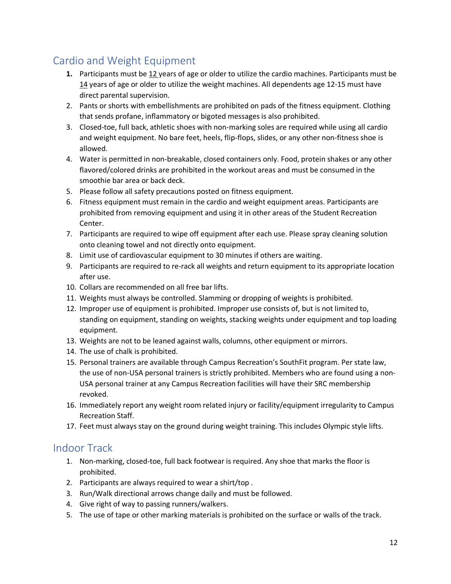## <span id="page-19-0"></span>Cardio and Weight Equipment

- **1.** Participants must be 12 years of age or older to utilize the cardio machines. Participants must be 14 years of age or older to utilize the weight machines. All dependents age 12-15 must have direct parental supervision.
- 2. Pants or shorts with embellishments are prohibited on pads of the fitness equipment. Clothing that sends profane, inflammatory or bigoted messages is also prohibited.
- 3. Closed-toe, full back, athletic shoes with non-marking soles are required while using all cardio and weight equipment. No bare feet, heels, flip-flops, slides, or any other non-fitness shoe is allowed.
- 4. Water is permitted in non-breakable, closed containers only. Food, protein shakes or any other flavored/colored drinks are prohibited in the workout areas and must be consumed in the smoothie bar area or back deck.
- 5. Please follow all safety precautions posted on fitness equipment.
- 6. Fitness equipment must remain in the cardio and weight equipment areas. Participants are prohibited from removing equipment and using it in other areas of the Student Recreation Center.
- 7. Participants are required to wipe off equipment after each use. Please spray cleaning solution onto cleaning towel and not directly onto equipment.
- 8. Limit use of cardiovascular equipment to 30 minutes if others are waiting.
- 9. Participants are required to re-rack all weights and return equipment to its appropriate location after use.
- 10. Collars are recommended on all free bar lifts.
- 11. Weights must always be controlled. Slamming or dropping of weights is prohibited.
- 12. Improper use of equipment is prohibited. Improper use consists of, but is not limited to, standing on equipment, standing on weights, stacking weights under equipment and top loading equipment.
- 13. Weights are not to be leaned against walls, columns, other equipment or mirrors.
- 14. The use of chalk is prohibited.
- 15. Personal trainers are available through Campus Recreation's SouthFit program. Per state law, the use of non-USA personal trainers is strictly prohibited. Members who are found using a non-USA personal trainer at any Campus Recreation facilities will have their SRC membership revoked.
- 16. Immediately report any weight room related injury or facility/equipment irregularity to Campus Recreation Staff.
- 17. Feet must always stay on the ground during weight training. This includes Olympic style lifts.

## <span id="page-19-1"></span>Indoor Track

- 1. Non-marking, closed-toe, full back footwear is required. Any shoe that marks the floor is prohibited.
- 2. Participants are always required to wear a shirt/top .
- 3. Run/Walk directional arrows change daily and must be followed.
- 4. Give right of way to passing runners/walkers.
- 5. The use of tape or other marking materials is prohibited on the surface or walls of the track.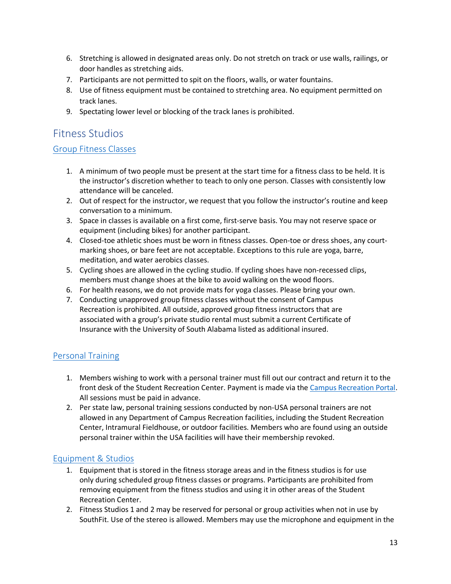- 6. Stretching is allowed in designated areas only. Do not stretch on track or use walls, railings, or door handles as stretching aids.
- 7. Participants are not permitted to spit on the floors, walls, or water fountains.
- 8. Use of fitness equipment must be contained to stretching area. No equipment permitted on track lanes.
- 9. Spectating lower level or blocking of the track lanes is prohibited.

## <span id="page-20-0"></span>Fitness Studios

## <span id="page-20-1"></span>[Group Fitness Classes](https://www.southalabama.edu/departments/campusrec/southfit/groupclasses.html)

- 1. A minimum of two people must be present at the start time for a fitness class to be held. It is the instructor's discretion whether to teach to only one person. Classes with consistently low attendance will be canceled.
- 2. Out of respect for the instructor, we request that you follow the instructor's routine and keep conversation to a minimum.
- 3. Space in classes is available on a first come, first-serve basis. You may not reserve space or equipment (including bikes) for another participant.
- 4. Closed-toe athletic shoes must be worn in fitness classes. Open-toe or dress shoes, any courtmarking shoes, or bare feet are not acceptable. Exceptions to this rule are yoga, barre, meditation, and water aerobics classes.
- 5. Cycling shoes are allowed in the cycling studio. If cycling shoes have non-recessed clips, members must change shoes at the bike to avoid walking on the wood floors.
- 6. For health reasons, we do not provide mats for yoga classes. Please bring your own.
- 7. Conducting unapproved group fitness classes without the consent of Campus Recreation is prohibited. All outside, approved group fitness instructors that are associated with a group's private studio rental must submit a current Certificate of Insurance with the University of South Alabama listed as additional insured.

## <span id="page-20-2"></span>[Personal Training](https://www.southalabama.edu/departments/campusrec/southfit/personaltraining.html)

- 1. Members wishing to work with a personal trainer must fill out our contract and return it to the front desk of the Student Recreation Center. Payment is made via the Campus Recreation Portal. All sessions must be paid in advance.
- 2. Per state law, personal training sessions conducted by non-USA personal trainers are not allowed in any Department of Campus Recreation facilities, including the Student Recreation Center, Intramural Fieldhouse, or outdoor facilities. Members who are found using an outside personal trainer within the USA facilities will have their membership revoked.

## <span id="page-20-3"></span>[Equipment & Studios](https://www.southalabama.edu/departments/campusrec/southfit/studioreservations.html)

- 1. Equipment that is stored in the fitness storage areas and in the fitness studios is for use only during scheduled group fitness classes or programs. Participants are prohibited from removing equipment from the fitness studios and using it in other areas of the Student Recreation Center.
- 2. Fitness Studios 1 and 2 may be reserved for personal or group activities when not in use by SouthFit. Use of the stereo is allowed. Members may use the microphone and equipment in the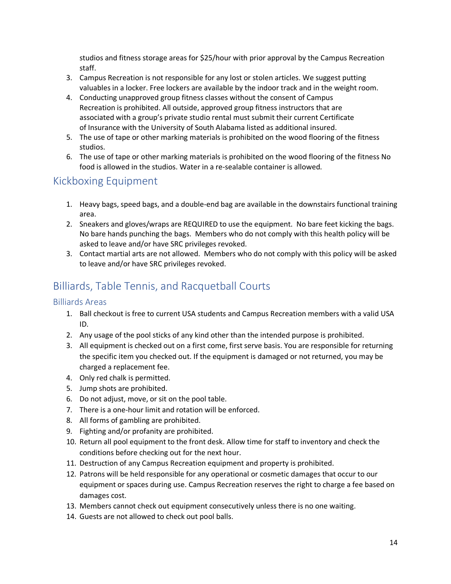studios and fitness storage areas for \$25/hour with prior approval by the Campus Recreation staff.

- 3. Campus Recreation is not responsible for any lost or stolen articles. We suggest putting valuables in a locker. Free lockers are available by the indoor track and in the weight room.
- 4. Conducting unapproved group fitness classes without the consent of Campus Recreation is prohibited. All outside, approved group fitness instructors that are associated with a group's private studio rental must submit their current Certificate of Insurance with the University of South Alabama listed as additional insured.
- 5. The use of tape or other marking materials is prohibited on the wood flooring of the fitness studios.
- 6. The use of tape or other marking materials is prohibited on the wood flooring of the fitness No food is allowed in the studios. Water in a re-sealable container is allowed.

## <span id="page-21-0"></span>Kickboxing Equipment

- 1. Heavy bags, speed bags, and a double-end bag are available in the downstairs functional training area.
- 2. Sneakers and gloves/wraps are REQUIRED to use the equipment. No bare feet kicking the bags. No bare hands punching the bags. Members who do not comply with this health policy will be asked to leave and/or have SRC privileges revoked.
- 3. Contact martial arts are not allowed. Members who do not comply with this policy will be asked to leave and/or have SRC privileges revoked.

## <span id="page-21-1"></span>Billiards, Table Tennis, and Racquetball Courts

## <span id="page-21-2"></span>Billiards Areas

- 1. Ball checkout is free to current USA students and Campus Recreation members with a valid USA ID.
- 2. Any usage of the pool sticks of any kind other than the intended purpose is prohibited.
- 3. All equipment is checked out on a first come, first serve basis. You are responsible for returning the specific item you checked out. If the equipment is damaged or not returned, you may be charged a replacement fee.
- 4. Only red chalk is permitted.
- 5. Jump shots are prohibited.
- 6. Do not adjust, move, or sit on the pool table.
- 7. There is a one-hour limit and rotation will be enforced.
- 8. All forms of gambling are prohibited.
- 9. Fighting and/or profanity are prohibited.
- 10. Return all pool equipment to the front desk. Allow time for staff to inventory and check the conditions before checking out for the next hour.
- 11. Destruction of any Campus Recreation equipment and property is prohibited.
- 12. Patrons will be held responsible for any operational or cosmetic damages that occur to our equipment or spaces during use. Campus Recreation reserves the right to charge a fee based on damages cost.
- 13. Members cannot check out equipment consecutively unless there is no one waiting.
- 14. Guests are not allowed to check out pool balls.